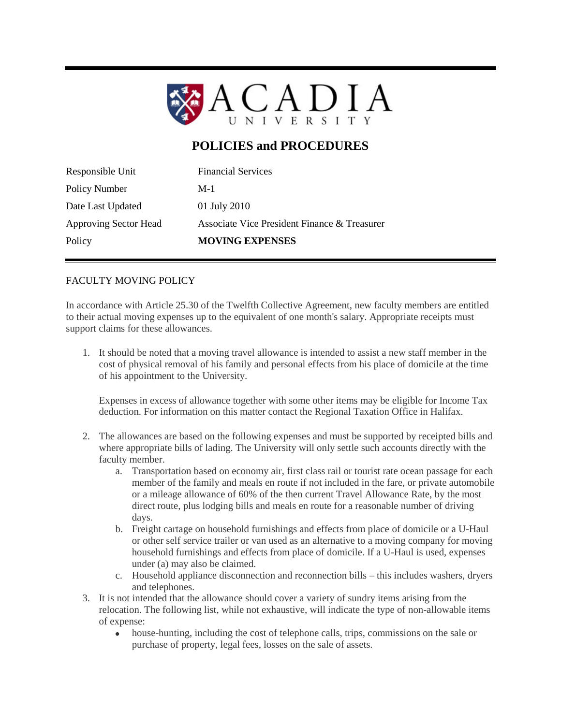

## **POLICIES and PROCEDURES**

| Policy Number<br>Date Last Updated | 01 July 2010                                 |
|------------------------------------|----------------------------------------------|
| <b>Approving Sector Head</b>       | Associate Vice President Finance & Treasurer |
| Policy                             | <b>MOVING EXPENSES</b>                       |

## FACULTY MOVING POLICY

In accordance with Article 25.30 of the Twelfth Collective Agreement, new faculty members are entitled to their actual moving expenses up to the equivalent of one month's salary. Appropriate receipts must support claims for these allowances.

1. It should be noted that a moving travel allowance is intended to assist a new staff member in the cost of physical removal of his family and personal effects from his place of domicile at the time of his appointment to the University.

Expenses in excess of allowance together with some other items may be eligible for Income Tax deduction. For information on this matter contact the Regional Taxation Office in Halifax.

- 2. The allowances are based on the following expenses and must be supported by receipted bills and where appropriate bills of lading. The University will only settle such accounts directly with the faculty member.
	- a. Transportation based on economy air, first class rail or tourist rate ocean passage for each member of the family and meals en route if not included in the fare, or private automobile or a mileage allowance of 60% of the then current Travel Allowance Rate, by the most direct route, plus lodging bills and meals en route for a reasonable number of driving days.
	- b. Freight cartage on household furnishings and effects from place of domicile or a U-Haul or other self service trailer or van used as an alternative to a moving company for moving household furnishings and effects from place of domicile. If a U-Haul is used, expenses under (a) may also be claimed.
	- c. Household appliance disconnection and reconnection bills this includes washers, dryers and telephones.
- 3. It is not intended that the allowance should cover a variety of sundry items arising from the relocation. The following list, while not exhaustive, will indicate the type of non-allowable items of expense:
	- $\bullet$ house-hunting, including the cost of telephone calls, trips, commissions on the sale or purchase of property, legal fees, losses on the sale of assets.